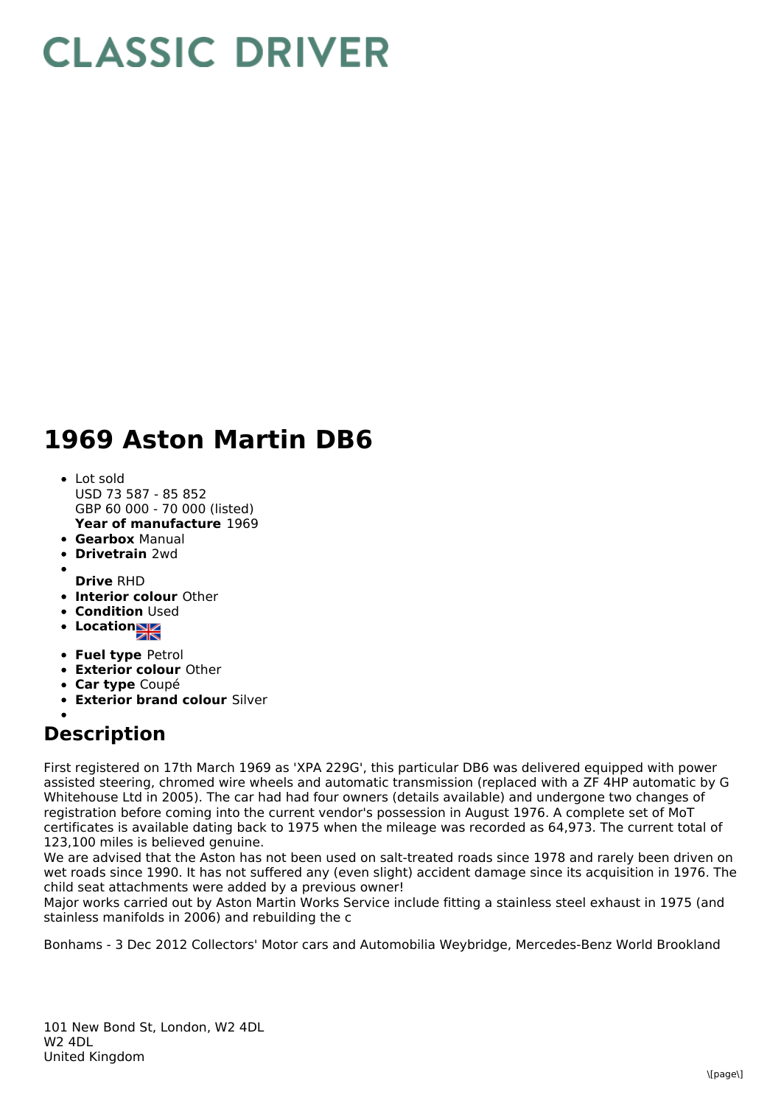## **CLASSIC DRIVER**

## **1969 Aston Martin DB6**

- **Year of manufacture** 1969 • Lot sold USD 73 587 - 85 852 GBP 60 000 - 70 000 (listed)
- **Gearbox** Manual
- **Drivetrain** 2wd
- **Drive** RHD
- **Interior colour** Other
- **Condition Used**
- Location
- **Fuel type** Petrol
- **Exterior colour** Other
- **Car type** Coupé
- **Exterior brand colour** Silver

## **Description**

First registered on 17th March 1969 as 'XPA 229G', this particular DB6 was delivered equipped with power assisted steering, chromed wire wheels and automatic transmission (replaced with a ZF 4HP automatic by G Whitehouse Ltd in 2005). The car had had four owners (details available) and undergone two changes of registration before coming into the current vendor's possession in August 1976. A complete set of MoT certificates is available dating back to 1975 when the mileage was recorded as 64,973. The current total of 123,100 miles is believed genuine.

We are advised that the Aston has not been used on salt-treated roads since 1978 and rarely been driven on wet roads since 1990. It has not suffered any (even slight) accident damage since its acquisition in 1976. The child seat attachments were added by a previous owner!

Major works carried out by Aston Martin Works Service include fitting a stainless steel exhaust in 1975 (and stainless manifolds in 2006) and rebuilding the c

Bonhams - 3 Dec 2012 Collectors' Motor cars and Automobilia Weybridge, Mercedes-Benz World Brookland